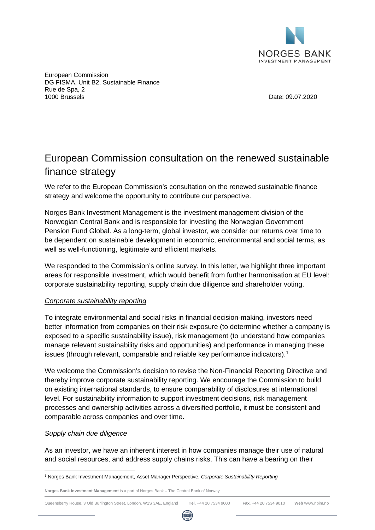

European Commission DG FISMA, Unit B2, Sustainable Finance Rue de Spa, 2 1000 Brussels Date: 09.07.2020

## European Commission consultation on the renewed sustainable finance strategy

We refer to the European Commission's consultation on the renewed sustainable finance strategy and welcome the opportunity to contribute our perspective.

Norges Bank Investment Management is the investment management division of the Norwegian Central Bank and is responsible for investing the Norwegian Government Pension Fund Global. As a long-term, global investor, we consider our returns over time to be dependent on sustainable development in economic, environmental and social terms, as well as well-functioning, legitimate and efficient markets.

We responded to the Commission's online survey. In this letter, we highlight three important areas for responsible investment, which would benefit from further harmonisation at EU level: corporate sustainability reporting, supply chain due diligence and shareholder voting.

## *Corporate sustainability reporting*

To integrate environmental and social risks in financial decision-making, investors need better information from companies on their risk exposure (to determine whether a company is exposed to a specific sustainability issue), risk management (to understand how companies manage relevant sustainability risks and opportunities) and performance in managing these issues (through relevant, comparable and reliable key performance indicators).<sup>[1](#page-0-0)</sup>

We welcome the Commission's decision to revise the Non-Financial Reporting Directive and thereby improve corporate sustainability reporting. We encourage the Commission to build on existing international standards, to ensure comparability of disclosures at international level. For sustainability information to support investment decisions, risk management processes and ownership activities across a diversified portfolio, it must be consistent and comparable across companies and over time.

## *Supply chain due diligence*

As an investor, we have an inherent interest in how companies manage their use of natural and social resources, and address supply chains risks. This can have a bearing on their



<span id="page-0-0"></span><sup>1</sup> Norges Bank Investment Management, Asset Manager Perspective, *Corporate Sustainability Reporting*

**Norges Bank Investment Management** is a part of Norges Bank – The Central Bank of Norway